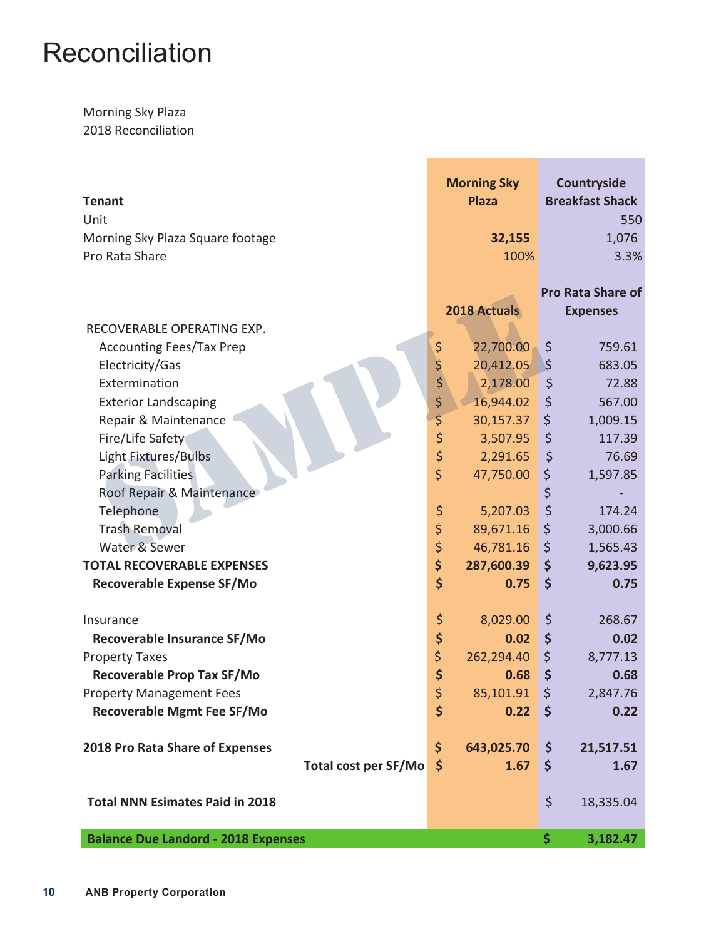## **Reconciliation**

## Morning Sky Plaza 2018 Reconciliation

| <b>Tenant</b>                              |                         | <b>Morning Sky</b><br><b>Plaza</b> | Countryside<br><b>Breakfast Shack</b> |
|--------------------------------------------|-------------------------|------------------------------------|---------------------------------------|
| Unit                                       |                         |                                    | 550                                   |
| Morning Sky Plaza Square footage           |                         | 32,155                             | 1,076                                 |
| Pro Rata Share                             |                         | 100%                               | 3.3%                                  |
|                                            |                         |                                    | <b>Pro Rata Share of</b>              |
|                                            |                         | 2018 Actuals                       | <b>Expenses</b>                       |
| RECOVERABLE OPERATING EXP.                 |                         |                                    |                                       |
| <b>Accounting Fees/Tax Prep</b>            | \$                      | 22,700.00                          | \$<br>759.61                          |
| Electricity/Gas                            |                         | 20,412.05                          | \$<br>683.05                          |
| Extermination                              | \$\$\$                  | 2,178.00                           | \$<br>72.88                           |
| <b>Exterior Landscaping</b>                |                         | 16,944.02                          | \$<br>567.00                          |
| Repair & Maintenance                       | \$                      | 30,157.37                          | \$<br>1,009.15                        |
| Fire/Life Safety                           | \$                      | 3,507.95                           | \$<br>117.39                          |
| Light Fixtures/Bulbs                       | $\varsigma$             | 2,291.65                           | \$<br>76.69                           |
| <b>Parking Facilities</b>                  | $\overline{\mathsf{S}}$ | 47,750.00                          | \$<br>1,597.85                        |
| Roof Repair & Maintenance                  |                         |                                    | \$                                    |
| Telephone                                  | \$                      | 5,207.03                           | \$<br>174.24                          |
| <b>Trash Removal</b>                       | \$                      | 89,671.16                          | \$<br>3,000.66                        |
| Water & Sewer                              | \$                      | 46,781.16                          | \$<br>1,565.43                        |
| <b>TOTAL RECOVERABLE EXPENSES</b>          | \$                      | 287,600.39                         | \$<br>9,623.95                        |
| <b>Recoverable Expense SF/Mo</b>           | \$                      | 0.75                               | \$<br>0.75                            |
| Insurance                                  | \$                      | 8,029.00                           | \$<br>268.67                          |
| Recoverable Insurance SF/Mo                | \$                      | 0.02                               | \$<br>0.02                            |
| <b>Property Taxes</b>                      | \$                      | 262,294.40                         | \$<br>8,777.13                        |
| <b>Recoverable Prop Tax SF/Mo</b>          | \$                      | 0.68                               | \$<br>0.68                            |
| <b>Property Management Fees</b>            | \$                      | 85,101.91                          | \$<br>2,847.76                        |
| <b>Recoverable Mgmt Fee SF/Mo</b>          | \$                      | 0.22                               | \$<br>0.22                            |
| 2018 Pro Rata Share of Expenses            | \$                      | 643,025.70                         | \$<br>21,517.51                       |
| <b>Total cost per SF/Mo</b>                | $\zeta$                 | 1.67                               | \$<br>1.67                            |
|                                            |                         |                                    |                                       |
| <b>Total NNN Esimates Paid in 2018</b>     |                         |                                    | \$<br>18,335.04                       |
| <b>Balance Due Landord - 2018 Expenses</b> |                         |                                    | \$<br>3,182.47                        |